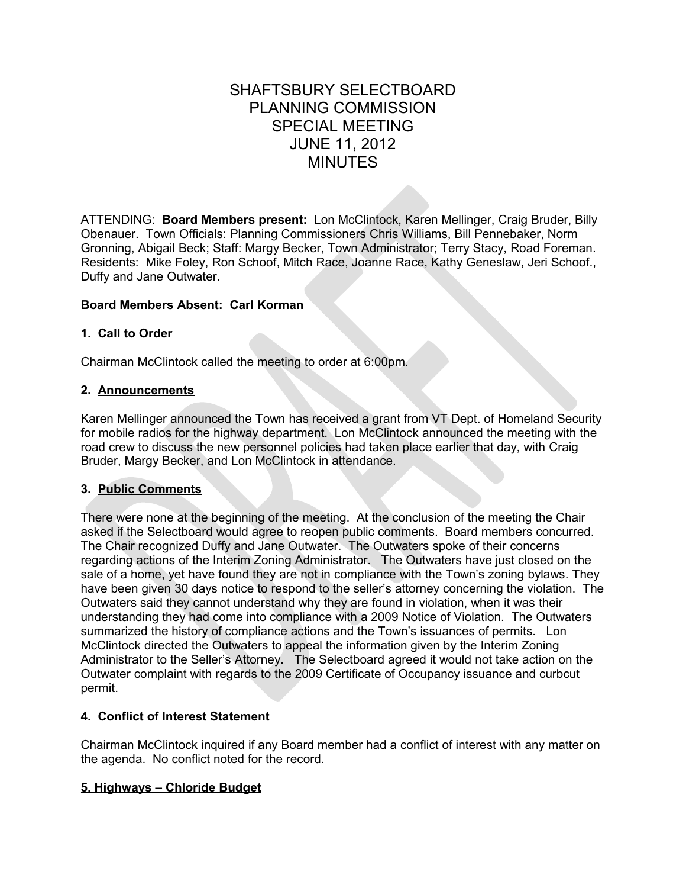# SHAFTSBURY SELECTBOARD PLANNING COMMISSION SPECIAL MEETING JUNE 11, 2012 MINUTES

ATTENDING: **Board Members present:** Lon McClintock, Karen Mellinger, Craig Bruder, Billy Obenauer. Town Officials: Planning Commissioners Chris Williams, Bill Pennebaker, Norm Gronning, Abigail Beck; Staff: Margy Becker, Town Administrator; Terry Stacy, Road Foreman. Residents: Mike Foley, Ron Schoof, Mitch Race, Joanne Race, Kathy Geneslaw, Jeri Schoof., Duffy and Jane Outwater.

# **Board Members Absent: Carl Korman**

## **1. Call to Order**

Chairman McClintock called the meeting to order at 6:00pm.

## **2. Announcements**

Karen Mellinger announced the Town has received a grant from VT Dept. of Homeland Security for mobile radios for the highway department. Lon McClintock announced the meeting with the road crew to discuss the new personnel policies had taken place earlier that day, with Craig Bruder, Margy Becker, and Lon McClintock in attendance.

#### **3. Public Comments**

There were none at the beginning of the meeting. At the conclusion of the meeting the Chair asked if the Selectboard would agree to reopen public comments. Board members concurred. The Chair recognized Duffy and Jane Outwater. The Outwaters spoke of their concerns regarding actions of the Interim Zoning Administrator. The Outwaters have just closed on the sale of a home, yet have found they are not in compliance with the Town's zoning bylaws. They have been given 30 days notice to respond to the seller's attorney concerning the violation. The Outwaters said they cannot understand why they are found in violation, when it was their understanding they had come into compliance with a 2009 Notice of Violation. The Outwaters summarized the history of compliance actions and the Town's issuances of permits. Lon McClintock directed the Outwaters to appeal the information given by the Interim Zoning Administrator to the Seller's Attorney. The Selectboard agreed it would not take action on the Outwater complaint with regards to the 2009 Certificate of Occupancy issuance and curbcut permit.

# **4. Conflict of Interest Statement**

Chairman McClintock inquired if any Board member had a conflict of interest with any matter on the agenda. No conflict noted for the record.

# **5. Highways – Chloride Budget**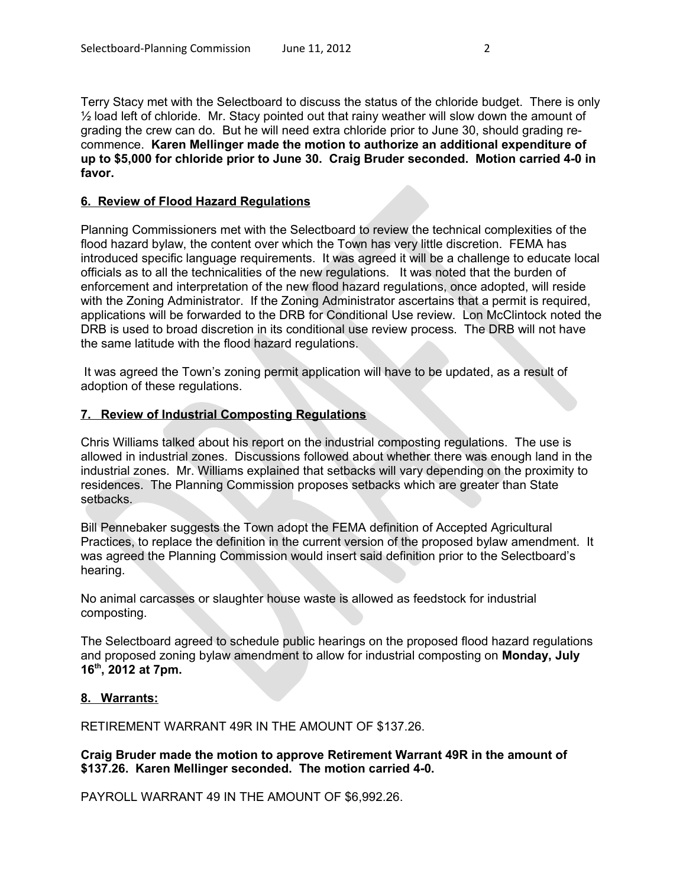Terry Stacy met with the Selectboard to discuss the status of the chloride budget. There is only  $\frac{1}{2}$  load left of chloride. Mr. Stacy pointed out that rainy weather will slow down the amount of grading the crew can do. But he will need extra chloride prior to June 30, should grading recommence. **Karen Mellinger made the motion to authorize an additional expenditure of up to \$5,000 for chloride prior to June 30. Craig Bruder seconded. Motion carried 4-0 in favor.**

### **6. Review of Flood Hazard Regulations**

Planning Commissioners met with the Selectboard to review the technical complexities of the flood hazard bylaw, the content over which the Town has very little discretion. FEMA has introduced specific language requirements. It was agreed it will be a challenge to educate local officials as to all the technicalities of the new regulations. It was noted that the burden of enforcement and interpretation of the new flood hazard regulations, once adopted, will reside with the Zoning Administrator. If the Zoning Administrator ascertains that a permit is required, applications will be forwarded to the DRB for Conditional Use review. Lon McClintock noted the DRB is used to broad discretion in its conditional use review process. The DRB will not have the same latitude with the flood hazard regulations.

 It was agreed the Town's zoning permit application will have to be updated, as a result of adoption of these regulations.

## **7. Review of Industrial Composting Regulations**

Chris Williams talked about his report on the industrial composting regulations. The use is allowed in industrial zones. Discussions followed about whether there was enough land in the industrial zones. Mr. Williams explained that setbacks will vary depending on the proximity to residences. The Planning Commission proposes setbacks which are greater than State setbacks.

Bill Pennebaker suggests the Town adopt the FEMA definition of Accepted Agricultural Practices, to replace the definition in the current version of the proposed bylaw amendment. It was agreed the Planning Commission would insert said definition prior to the Selectboard's hearing.

No animal carcasses or slaughter house waste is allowed as feedstock for industrial composting.

The Selectboard agreed to schedule public hearings on the proposed flood hazard regulations and proposed zoning bylaw amendment to allow for industrial composting on **Monday, July 16th, 2012 at 7pm.** 

## **8. Warrants:**

RETIREMENT WARRANT 49R IN THE AMOUNT OF \$137.26.

**Craig Bruder made the motion to approve Retirement Warrant 49R in the amount of \$137.26. Karen Mellinger seconded. The motion carried 4-0.**

PAYROLL WARRANT 49 IN THE AMOUNT OF \$6,992.26.